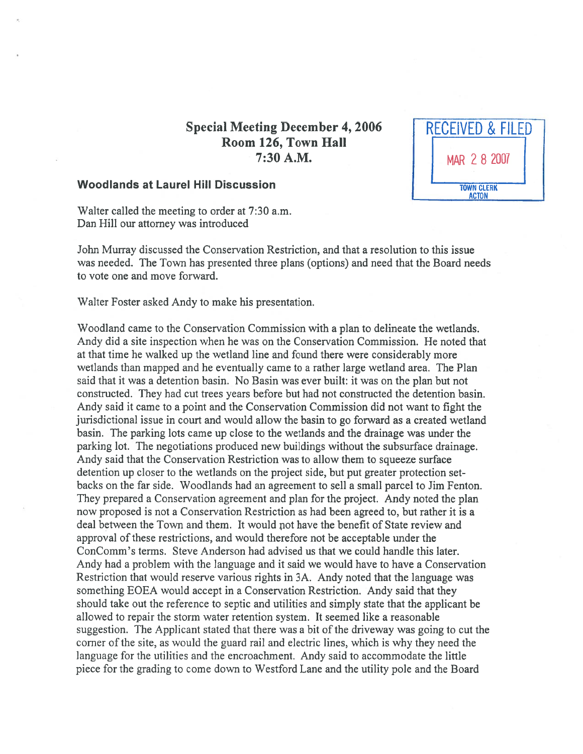## Special Meeting December 4, 2006 RECEIVED & FILED Room 126, Town Hall 7:30 A.M. Mar 2 8 2007



## Woodlands at Laurel Hill Discussion **TERRY AND READ TOWN CLERK**

Walter called the meeting to order at 7:30 a.m. Dan Hill our attorney was introduced

John Murray discussed the Conservation Restriction, and that <sup>a</sup> resolution to this issue was needed. The Town has presented three plans (options) and need that the Board needs to vote one and move forward.

Walter Foster asked Andy to make his presentation.

Woodland came to the Conservation Commission with <sup>a</sup> plan to delineate the wetlands. Andy did <sup>a</sup> site inspection when he was on the Conservation Commission. He noted that at that time he walked up the wetland line and found there were considerably more wetlands than mapped and he eventually came to <sup>a</sup> rather large wetland area. The Plan said that it was <sup>a</sup> detention basin. No Basin was ever built: it was on the plan but not constructed. They had cut trees years before but had not constructed the detention basin. Andy said it came to <sup>a</sup> point and the Conservation Commission did not want to fight the jurisdictional issue in court and would allow the basin to go forward as <sup>a</sup> created wetland basin. The parking lots came up close to the wetlands and the drainage was under the parking lot. The negotiations produced new buildings without the subsurface drainage. Andy said that the Conservation Restriction was to allow them to squeeze surface detention up closer to the wetlands on the project side, but pu<sup>t</sup> greater protection set backs on the far side. Woodlands had an agreemen<sup>t</sup> to sell <sup>a</sup> small parcel to Jim Fenton. They prepared <sup>a</sup> Conservation agreemen<sup>t</sup> and plan for the project. Andy noted the plan now proposed is not <sup>a</sup> Conservation Restriction as had been agreed to, but rather it is <sup>a</sup> deal between the Town and them. It would not have the benefit of State review and approval of these restrictions, and would therefore not be acceptable under the ConComm's terms. Steve Anderson had advised us that we could handle this later. Andy had <sup>a</sup> problem with the language and it said we would have to have <sup>a</sup> Conservation Restriction that would reserve various rights in 3A. Andy noted that the language was something EOEA would accep<sup>t</sup> in <sup>a</sup> Conservation Restriction. Andy said that they should take out the reference to septic and utilities and simply state that the applicant be allowed to repair the storm water retention system. It seemed like <sup>a</sup> reasonable suggestion. The Applicant stated that there was a bit of the driveway was going to cut the corner of the site, as would the guard rail and electric lines, which is why they need the language for the utilities and the encroachment. Andy said to accommodate the little piece for the grading to come down to Westford Lane and the utility pole and the Board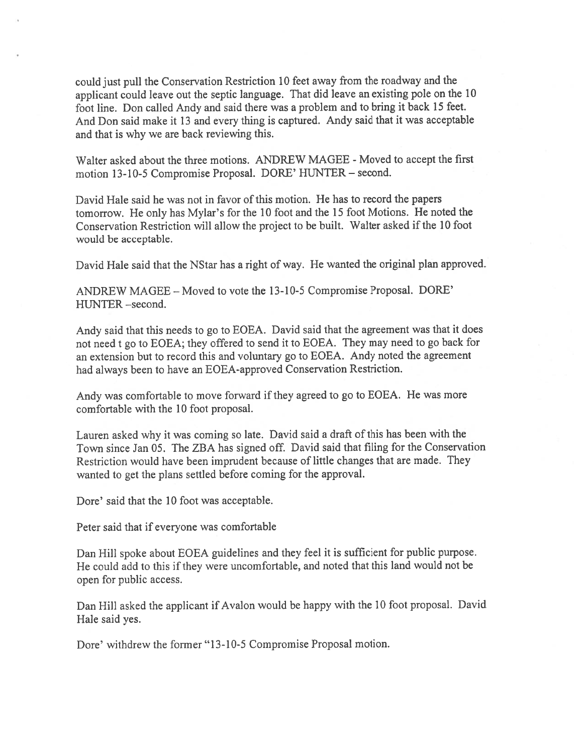could just pull the Conservation Restriction <sup>10</sup> feet away from the roadway and the applicant could leave out the septic language. That did leave an existing pole on the <sup>10</sup> foot line. Don called Andy and said there was <sup>a</sup> problem and to bring it back <sup>15</sup> feet. And Don said make it <sup>13</sup> and every thing is captured. Andy said that it was acceptable and that is why we are back reviewing this.

Walter asked about the three motions. ANDREW MAGEE - Moved to accept the first motion 13-10-5 Compromise Proposal. DORE' HUNTER — second.

David Hale said he was not in favor of this motion. He has to record the papers tomorrow. He only has Mylar's for the <sup>10</sup> foot and the <sup>15</sup> foot Motions. He noted the Conservation Restriction will allow the project to be built. Walter asked if the 10 foot would be acceptable.

David Hale said that the NStar has <sup>a</sup> right of way. He wanted the original <sup>p</sup>lan approved.

ANDREW MAGEE — Moved to vote the 13-10-5 Compromise Proposal. DORE' HUNTER -second.

Andy said that this needs to go to EOEA. David said that the agreemen<sup>t</sup> was that it does not need <sup>t</sup> go to EOEA; they offered to send it to EOEA. They may need to go back for an extension but to record this and voluntary go to EOEA. Andy noted the agreemen<sup>t</sup> had always been to have an EOEA-approved Conservation Restriction.

Andy was comfortable to move forward if they agreed to go to EOEA. He was more comfortable with the 10 foot proposal.

Lauren asked why it was coming so late. David said <sup>a</sup> draft of this has been with the Town since Jan 05. The ZBA has signed off. David said that filing for the Conservation Restriction would have been imprudent because of little changes that are made. They wanted to ge<sup>t</sup> the <sup>p</sup>lans settled before coming for the approval.

Dore' said that the 10 foot was acceptable.

Peter said that if everyone was comfortable

Dan Hill spoke about EOEA guidelines and they feel it is sufficient for public purpose. He could add to this if they were uncomfortable, and noted that this land would not be open for public access.

Dan Hill asked the applicant if Avalon would be happy with the <sup>10</sup> foot proposal. David Hale said yes.

Dore' withdrew the former "13-10-5 Compromise Proposal motion.